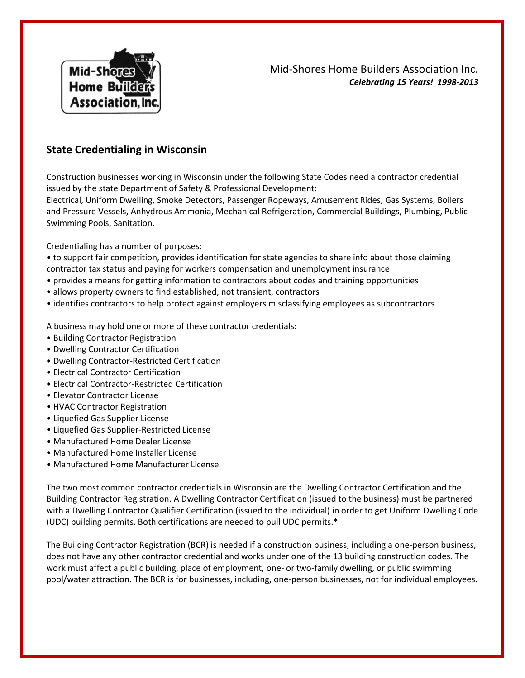

## Mid-Shores Home Builders Association Inc. *Celebrating 15 Years! 1998-2013*

## **State Credentialing in Wisconsin**

Construction businesses working in Wisconsin under the following State Codes need a contractor credential issued by the state Department of Safety & Professional Development:

Electrical, Uniform Dwelling, Smoke Detectors, Passenger Ropeways, Amusement Rides, Gas Systems, Boilers and Pressure Vessels, Anhydrous Ammonia, Mechanical Refrigeration, Commercial Buildings, Plumbing, Public Swimming Pools, Sanitation.

Credentialing has a number of purposes:

• to support fair competition, provides identification for state agencies to share info about those claiming contractor tax status and paying for workers compensation and unemployment insurance

- provides a means for getting information to contractors about codes and training opportunities
- allows property owners to find established, not transient, contractors
- identifies contractors to help protect against employers misclassifying employees as subcontractors

A business may hold one or more of these contractor credentials:

- Building Contractor Registration
- Dwelling Contractor Certification
- Dwelling Contractor-Restricted Certification
- Electrical Contractor Certification
- Electrical Contractor-Restricted Certification
- Elevator Contractor License
- HVAC Contractor Registration
- Liquefied Gas Supplier License
- Liquefied Gas Supplier-Restricted License
- Manufactured Home Dealer License
- Manufactured Home Installer License
- Manufactured Home Manufacturer License

The two most common contractor credentials in Wisconsin are the Dwelling Contractor Certification and the Building Contractor Registration. A Dwelling Contractor Certification (issued to the business) must be partnered with a Dwelling Contractor Qualifier Certification (issued to the individual) in order to get Uniform Dwelling Code (UDC) building permits. Both certifications are needed to pull UDC permits.\*

The Building Contractor Registration (BCR) is needed if a construction business, including a one-person business, does not have any other contractor credential and works under one of the 13 building construction codes. The work must affect a public building, place of employment, one- or two-family dwelling, or public swimming pool/water attraction. The BCR is for businesses, including, one-person businesses, not for individual employees.